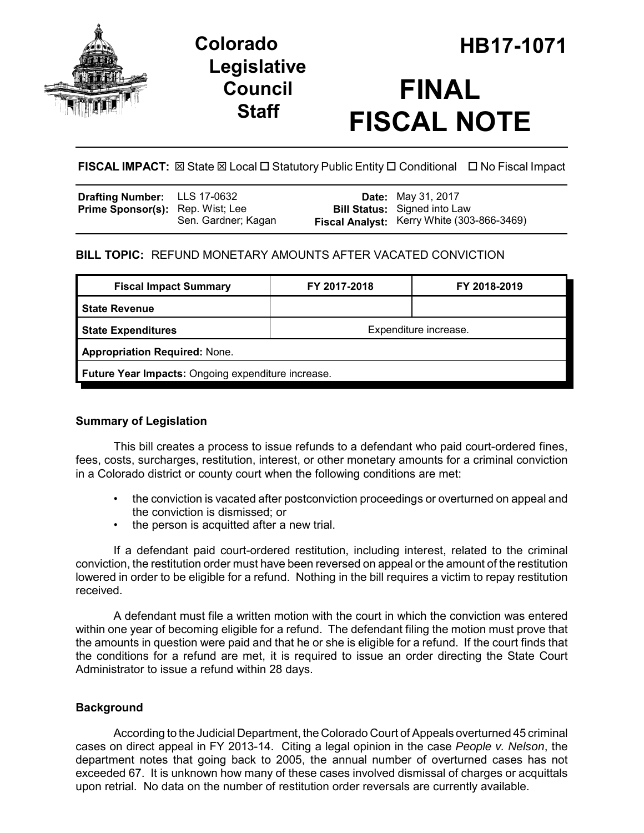

## **Legislative Council Staff**

# **FINAL FISCAL NOTE**

**FISCAL IMPACT:**  $\boxtimes$  State  $\boxtimes$  Local  $\Box$  Statutory Public Entity  $\Box$  Conditional  $\Box$  No Fiscal Impact

| Drafting Number: LLS 17-0632            |                     | <b>Date:</b> May 31, 2017                                                         |
|-----------------------------------------|---------------------|-----------------------------------------------------------------------------------|
| <b>Prime Sponsor(s):</b> Rep. Wist; Lee | Sen. Gardner; Kagan | <b>Bill Status:</b> Signed into Law<br>Fiscal Analyst: Kerry White (303-866-3469) |
|                                         |                     |                                                                                   |

## **BILL TOPIC:** REFUND MONETARY AMOUNTS AFTER VACATED CONVICTION

| <b>Fiscal Impact Summary</b>                       | FY 2017-2018          | FY 2018-2019 |  |  |
|----------------------------------------------------|-----------------------|--------------|--|--|
| <b>State Revenue</b>                               |                       |              |  |  |
| State Expenditures                                 | Expenditure increase. |              |  |  |
| <b>Appropriation Required: None.</b>               |                       |              |  |  |
| Future Year Impacts: Ongoing expenditure increase. |                       |              |  |  |
|                                                    |                       |              |  |  |

## **Summary of Legislation**

This bill creates a process to issue refunds to a defendant who paid court-ordered fines, fees, costs, surcharges, restitution, interest, or other monetary amounts for a criminal conviction in a Colorado district or county court when the following conditions are met:

- the conviction is vacated after postconviction proceedings or overturned on appeal and the conviction is dismissed; or
- the person is acquitted after a new trial.

If a defendant paid court-ordered restitution, including interest, related to the criminal conviction, the restitution order must have been reversed on appeal or the amount of the restitution lowered in order to be eligible for a refund. Nothing in the bill requires a victim to repay restitution received.

A defendant must file a written motion with the court in which the conviction was entered within one year of becoming eligible for a refund. The defendant filing the motion must prove that the amounts in question were paid and that he or she is eligible for a refund. If the court finds that the conditions for a refund are met, it is required to issue an order directing the State Court Administrator to issue a refund within 28 days.

## **Background**

According to the Judicial Department, the Colorado Court of Appeals overturned 45 criminal cases on direct appeal in FY 2013-14. Citing a legal opinion in the case *People v. Nelson*, the department notes that going back to 2005, the annual number of overturned cases has not exceeded 67. It is unknown how many of these cases involved dismissal of charges or acquittals upon retrial. No data on the number of restitution order reversals are currently available.